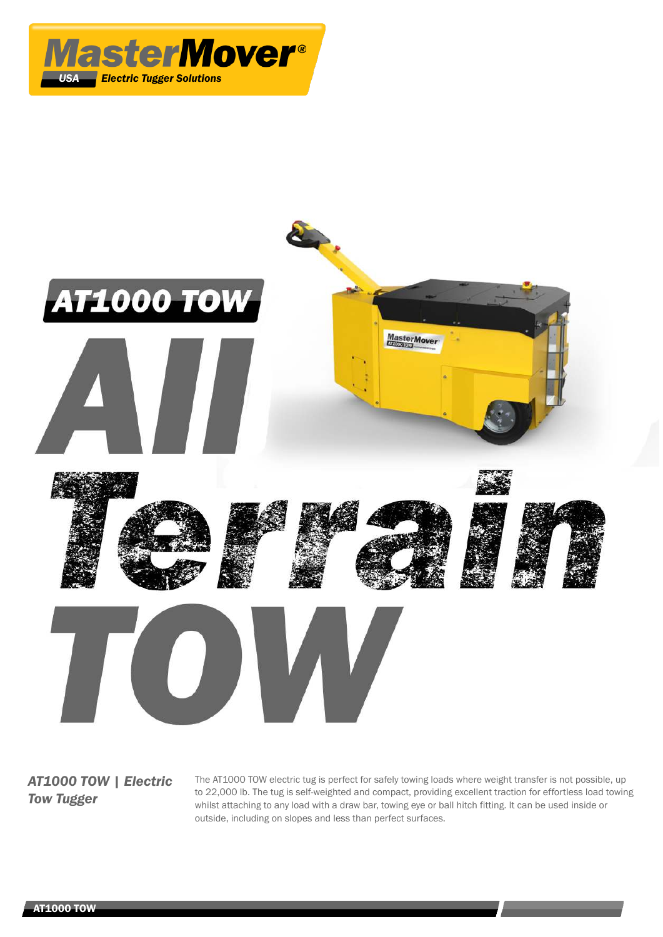



*AT1000 TOW | Electric Tow Tugger*

The AT1000 TOW electric tug is perfect for safely towing loads where weight transfer is not possible, up to 22,000 lb. The tug is self-weighted and compact, providing excellent traction for effortless load towing whilst attaching to any load with a draw bar, towing eye or ball hitch fitting. It can be used inside or outside, including on slopes and less than perfect surfaces.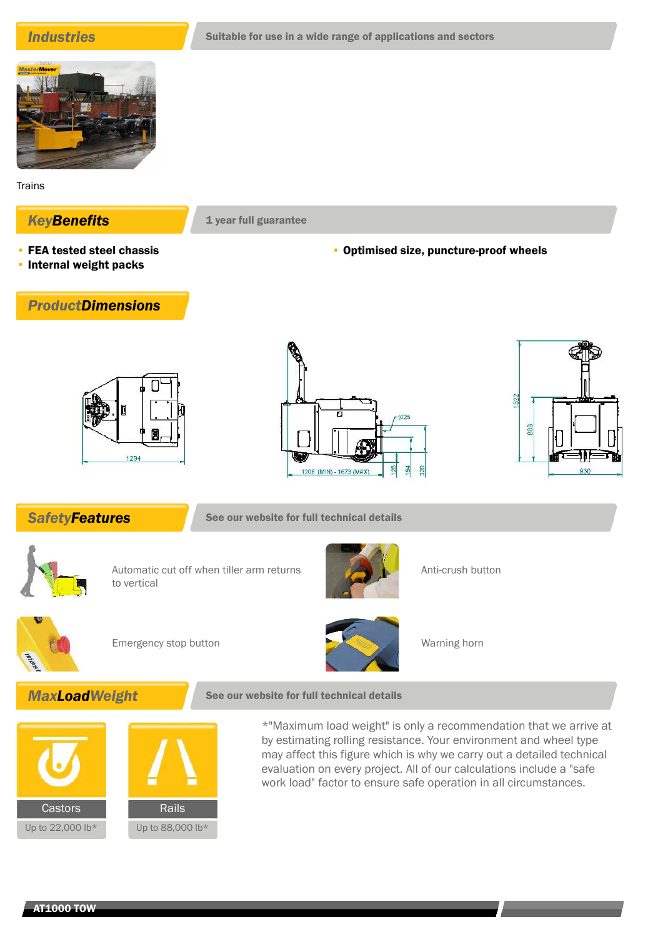

**Trains** 

## **KeyBenefits** 1 year full guarantee

- FEA tested steel chassis
- Internal weight packs

### • Optimised size, puncture-proof wheels









**SafetyFeatures** See our website for full technical details



Automatic cut off when tiller arm returns to vertical



Anti-crush button



Emergency stop button Warning horn



# **MaxLoadWeight** See our website for full technical details



\*"Maximum load weight" is only a recommendation that we arrive at by estimating rolling resistance. Your environment and wheel type may affect this figure which is why we carry out a detailed technical evaluation on every project. All of our calculations include a "safe work load" factor to ensure safe operation in all circumstances.

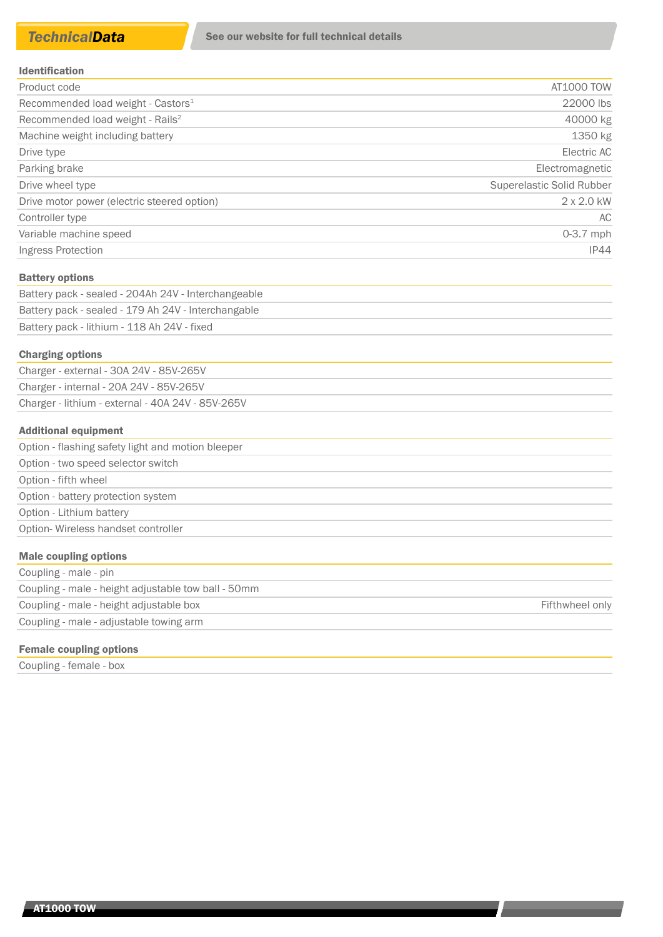| <b>Identification</b> |  |  |  |  |  |  |  |  |  |  |  |  |
|-----------------------|--|--|--|--|--|--|--|--|--|--|--|--|
|-----------------------|--|--|--|--|--|--|--|--|--|--|--|--|

| Product code                                   | AT1000 TOW                |
|------------------------------------------------|---------------------------|
| Recommended load weight - Castors <sup>1</sup> | 22000 lbs                 |
| Recommended load weight - Rails <sup>2</sup>   | 40000 kg                  |
| Machine weight including battery               | 1350 kg                   |
| Drive type                                     | Electric AC               |
| Parking brake                                  | Electromagnetic           |
| Drive wheel type                               | Superelastic Solid Rubber |
| Drive motor power (electric steered option)    | $2 \times 2.0$ kW         |
| Controller type                                | AC.                       |
| Variable machine speed                         | $0-3.7$ mph               |
| Ingress Protection                             | <b>IP44</b>               |

#### Battery options

| Battery pack - sealed - 204Ah 24V - Interchangeable |
|-----------------------------------------------------|
| Battery pack - sealed - 179 Ah 24V - Interchangable |
| Battery pack - lithium - 118 Ah 24V - fixed         |

#### Charging options

| Charger - external - 30A 24V - 85V-265V           |
|---------------------------------------------------|
| Charger - internal - 20A 24V - 85V-265V           |
| Charger - lithium - external - 40A 24V - 85V-265V |

#### Additional equipment

| Option - flashing safety light and motion bleeper |
|---------------------------------------------------|
| Option - two speed selector switch                |
| Option - fifth wheel                              |
| Option - battery protection system                |
| Option - Lithium battery                          |
| Option-Wireless handset controller                |
|                                                   |

| <b>Male coupling options</b>                        |                 |
|-----------------------------------------------------|-----------------|
| Coupling - male - pin                               |                 |
| Coupling - male - height adjustable tow ball - 50mm |                 |
| Coupling - male - height adjustable box             | Fifthwheel only |
| Coupling - male - adjustable towing arm             |                 |

### Female coupling options

Coupling - female - box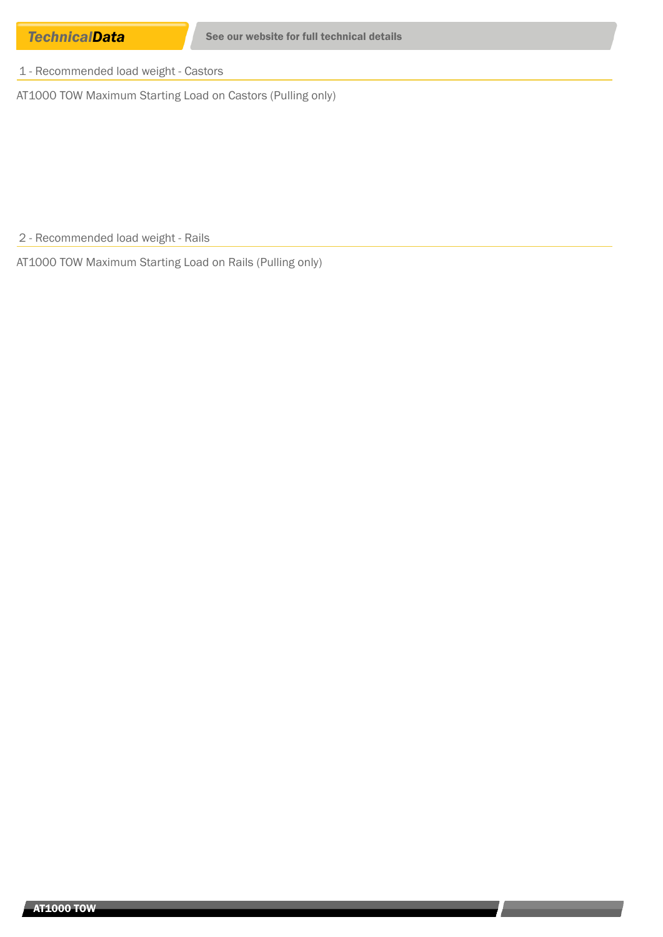1 - Recommended load weight - Castors

AT1000 TOW Maximum Starting Load on Castors (Pulling only)

2 - Recommended load weight - Rails

AT1000 TOW Maximum Starting Load on Rails (Pulling only)